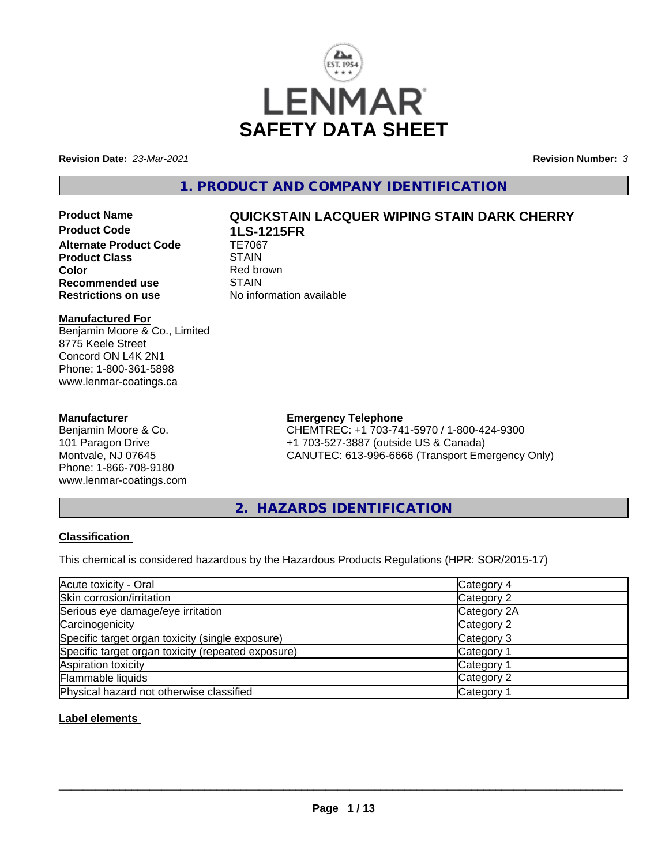

**Revision Date:** *23-Mar-2021* **Revision Number:** *3*

**1. PRODUCT AND COMPANY IDENTIFICATION**

**Product Code 1LS-1215FR Alternate Product Code TE7067<br>Product Class STAIN Product Class Color**<br> **Recommended use**<br> **COLORER STAIN Recommended use**<br>Restrictions on use

# **Product Name QUICKSTAIN LACQUER WIPING STAIN DARK CHERRY**

**No information available** 

### **Manufactured For**

Benjamin Moore & Co., Limited 8775 Keele Street Concord ON L4K 2N1 Phone: 1-800-361-5898 www.lenmar-coatings.ca

#### **Manufacturer**

Benjamin Moore & Co. 101 Paragon Drive Montvale, NJ 07645 Phone: 1-866-708-9180 www.lenmar-coatings.com

# **Emergency Telephone**

CHEMTREC: +1 703-741-5970 / 1-800-424-9300 +1 703-527-3887 (outside US & Canada) CANUTEC: 613-996-6666 (Transport Emergency Only)

**2. HAZARDS IDENTIFICATION**

### **Classification**

This chemical is considered hazardous by the Hazardous Products Regulations (HPR: SOR/2015-17)

| Acute toxicity - Oral                              | Category 4  |
|----------------------------------------------------|-------------|
| Skin corrosion/irritation                          | Category 2  |
| Serious eye damage/eye irritation                  | Category 2A |
| Carcinogenicity                                    | Category 2  |
| Specific target organ toxicity (single exposure)   | Category 3  |
| Specific target organ toxicity (repeated exposure) | Category 1  |
| Aspiration toxicity                                | Category 1  |
| Flammable liquids                                  | Category 2  |
| Physical hazard not otherwise classified           | Category    |

# **Label elements**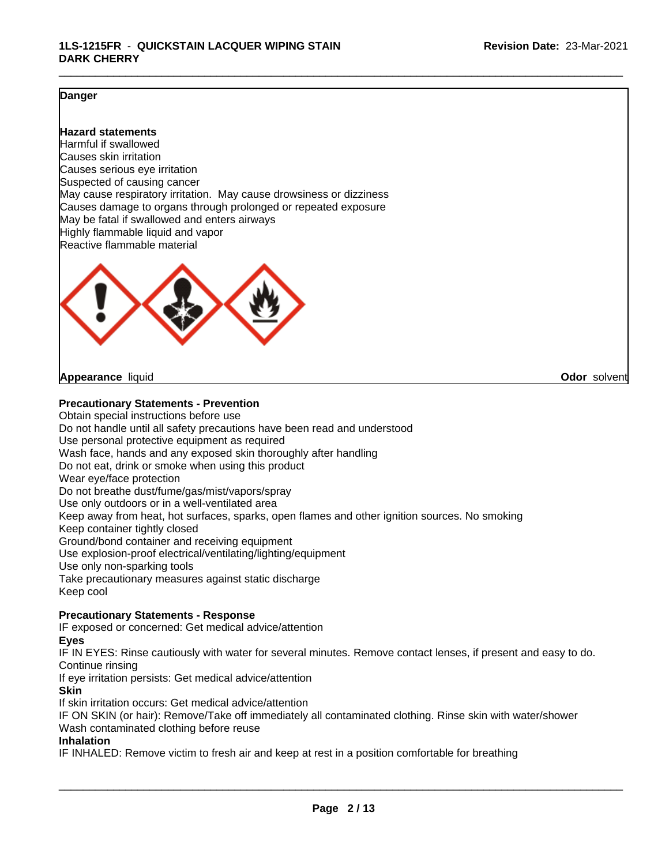#### **Danger**

#### **Hazard statements**

Harmful if swallowed Causes skin irritation Causes serious eye irritation Suspected of causing cancer May cause respiratory irritation. May cause drowsiness or dizziness Causes damage to organs through prolonged or repeated exposure May be fatal if swallowed and enters airways Highly flammable liquid and vapor Reactive flammable material



**Appearance** liquid **Odor** solvent

#### **Precautionary Statements - Prevention**

Obtain special instructions before use Do not handle until all safety precautions have been read and understood Use personal protective equipment as required Wash face, hands and any exposed skin thoroughly after handling Do not eat, drink or smoke when using this product Wear eye/face protection Do not breathe dust/fume/gas/mist/vapors/spray Use only outdoors or in a well-ventilated area Keep away from heat, hot surfaces, sparks, open flames and other ignition sources. No smoking Keep container tightly closed Ground/bond container and receiving equipment Use explosion-proof electrical/ventilating/lighting/equipment Use only non-sparking tools Take precautionary measures against static discharge Keep cool

### **Precautionary Statements - Response**

IF exposed or concerned: Get medical advice/attention

#### **Eyes**

IF IN EYES: Rinse cautiously with water for several minutes. Remove contact lenses, if present and easy to do. Continue rinsing

If eye irritation persists: Get medical advice/attention

#### **Skin**

If skin irritation occurs: Get medical advice/attention

IF ON SKIN (or hair): Remove/Take off immediately all contaminated clothing. Rinse skin with water/shower Wash contaminated clothing before reuse

#### **Inhalation**

IF INHALED: Remove victim to fresh air and keep at rest in a position comfortable for breathing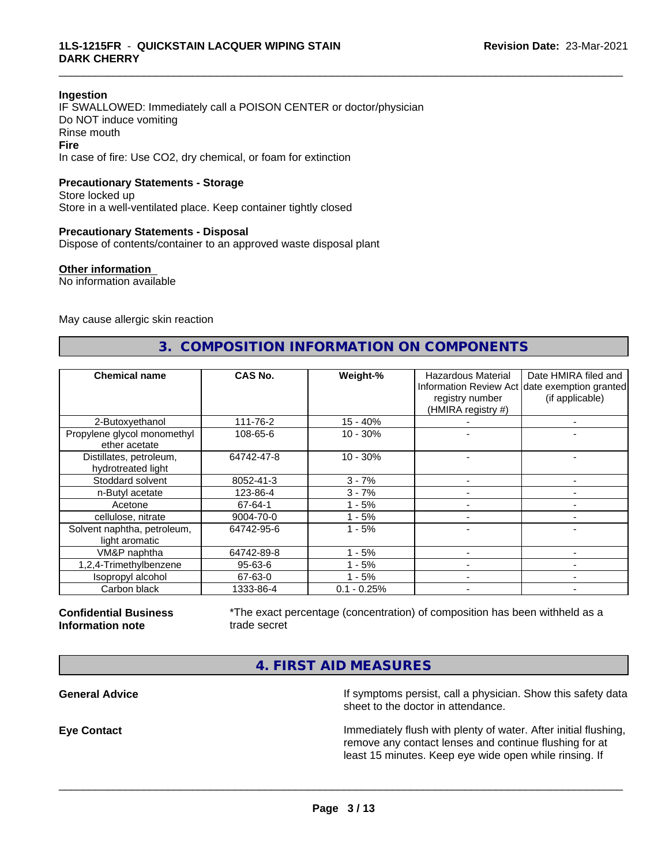#### **Ingestion**

IF SWALLOWED: Immediately call a POISON CENTER or doctor/physician Do NOT induce vomiting Rinse mouth **Fire** In case of fire: Use CO2, dry chemical, or foam for extinction

#### **Precautionary Statements - Storage**

Store locked up Store in a well-ventilated place. Keep container tightly closed

#### **Precautionary Statements - Disposal**

Dispose of contents/container to an approved waste disposal plant

#### **Other information**

No information available

May cause allergic skin reaction

# **3. COMPOSITION INFORMATION ON COMPONENTS**

\_\_\_\_\_\_\_\_\_\_\_\_\_\_\_\_\_\_\_\_\_\_\_\_\_\_\_\_\_\_\_\_\_\_\_\_\_\_\_\_\_\_\_\_\_\_\_\_\_\_\_\_\_\_\_\_\_\_\_\_\_\_\_\_\_\_\_\_\_\_\_\_\_\_\_\_\_\_\_\_\_\_\_\_\_\_\_\_\_\_\_\_\_

| <b>Chemical name</b>                          | CAS No.    | Weight-%      | <b>Hazardous Material</b><br>registry number<br>(HMIRA registry #) | Date HMIRA filed and<br>Information Review Act date exemption granted<br>(if applicable) |
|-----------------------------------------------|------------|---------------|--------------------------------------------------------------------|------------------------------------------------------------------------------------------|
| 2-Butoxyethanol                               | 111-76-2   | $15 - 40%$    |                                                                    |                                                                                          |
| Propylene glycol monomethyl<br>ether acetate  | 108-65-6   | $10 - 30%$    |                                                                    |                                                                                          |
| Distillates, petroleum,<br>hydrotreated light | 64742-47-8 | $10 - 30%$    |                                                                    |                                                                                          |
| Stoddard solvent                              | 8052-41-3  | $3 - 7%$      |                                                                    |                                                                                          |
| n-Butyl acetate                               | 123-86-4   | $3 - 7%$      |                                                                    |                                                                                          |
| Acetone                                       | 67-64-1    | $1 - 5%$      |                                                                    | $\overline{\phantom{0}}$                                                                 |
| cellulose, nitrate                            | 9004-70-0  | $1 - 5%$      |                                                                    | -                                                                                        |
| Solvent naphtha, petroleum,<br>light aromatic | 64742-95-6 | $1 - 5%$      |                                                                    | -                                                                                        |
| VM&P naphtha                                  | 64742-89-8 | $1 - 5%$      |                                                                    |                                                                                          |
| 1,2,4-Trimethylbenzene                        | 95-63-6    | $1 - 5%$      |                                                                    |                                                                                          |
| Isopropyl alcohol                             | 67-63-0    | $1 - 5%$      |                                                                    |                                                                                          |
| Carbon black                                  | 1333-86-4  | $0.1 - 0.25%$ |                                                                    | -                                                                                        |

#### **Confidential Business Information note**

\*The exact percentage (concentration) of composition has been withheld as a trade secret

 $\overline{\phantom{a}}$  ,  $\overline{\phantom{a}}$  ,  $\overline{\phantom{a}}$  ,  $\overline{\phantom{a}}$  ,  $\overline{\phantom{a}}$  ,  $\overline{\phantom{a}}$  ,  $\overline{\phantom{a}}$  ,  $\overline{\phantom{a}}$  ,  $\overline{\phantom{a}}$  ,  $\overline{\phantom{a}}$  ,  $\overline{\phantom{a}}$  ,  $\overline{\phantom{a}}$  ,  $\overline{\phantom{a}}$  ,  $\overline{\phantom{a}}$  ,  $\overline{\phantom{a}}$  ,  $\overline{\phantom{a}}$ 

**4. FIRST AID MEASURES**

**General Advice If symptoms persist, call a physician. Show this safety data If** symptoms persist, call a physician. Show this safety data sheet to the doctor in attendance.

**Eye Contact Immediately flush with plenty of water. After initial flushing,** remove any contact lenses and continue flushing for at least 15 minutes. Keep eye wide open while rinsing. If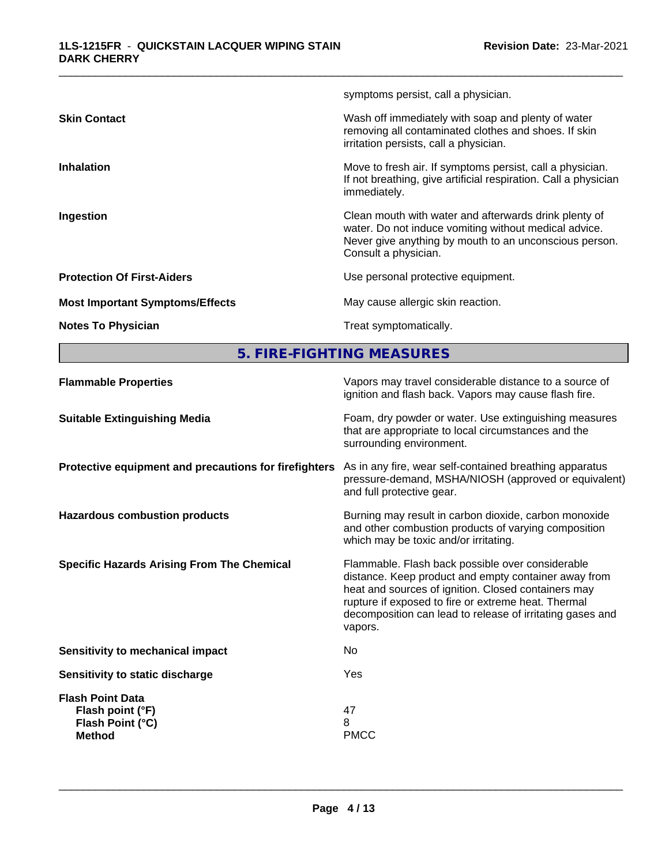| symptoms persist, call a physician.                                                                                                                                                                           |
|---------------------------------------------------------------------------------------------------------------------------------------------------------------------------------------------------------------|
| Wash off immediately with soap and plenty of water<br><b>Skin Contact</b><br>removing all contaminated clothes and shoes. If skin<br>irritation persists, call a physician.                                   |
| Move to fresh air. If symptoms persist, call a physician.<br><b>Inhalation</b><br>If not breathing, give artificial respiration. Call a physician<br>immediately.                                             |
| Clean mouth with water and afterwards drink plenty of<br>Ingestion<br>water. Do not induce vomiting without medical advice.<br>Never give anything by mouth to an unconscious person.<br>Consult a physician. |
| <b>Protection Of First-Aiders</b><br>Use personal protective equipment.                                                                                                                                       |
| May cause allergic skin reaction.<br><b>Most Important Symptoms/Effects</b>                                                                                                                                   |
| Treat symptomatically.<br><b>Notes To Physician</b>                                                                                                                                                           |

**5. FIRE-FIGHTING MEASURES**

| ignition and flash back. Vapors may cause flash fire.                                                                                                                                                                                                                                                                                               |  |
|-----------------------------------------------------------------------------------------------------------------------------------------------------------------------------------------------------------------------------------------------------------------------------------------------------------------------------------------------------|--|
| Foam, dry powder or water. Use extinguishing measures<br><b>Suitable Extinguishing Media</b><br>that are appropriate to local circumstances and the<br>surrounding environment.                                                                                                                                                                     |  |
| As in any fire, wear self-contained breathing apparatus<br>Protective equipment and precautions for firefighters<br>pressure-demand, MSHA/NIOSH (approved or equivalent)<br>and full protective gear.                                                                                                                                               |  |
| Burning may result in carbon dioxide, carbon monoxide<br><b>Hazardous combustion products</b><br>and other combustion products of varying composition<br>which may be toxic and/or irritating.                                                                                                                                                      |  |
| <b>Specific Hazards Arising From The Chemical</b><br>Flammable. Flash back possible over considerable<br>distance. Keep product and empty container away from<br>heat and sources of ignition. Closed containers may<br>rupture if exposed to fire or extreme heat. Thermal<br>decomposition can lead to release of irritating gases and<br>vapors. |  |
| Sensitivity to mechanical impact<br>No.                                                                                                                                                                                                                                                                                                             |  |
| Yes<br>Sensitivity to static discharge                                                                                                                                                                                                                                                                                                              |  |
| <b>Flash Point Data</b><br>47<br>Flash point (°F)<br>8<br>Flash Point (°C)<br><b>PMCC</b><br><b>Method</b>                                                                                                                                                                                                                                          |  |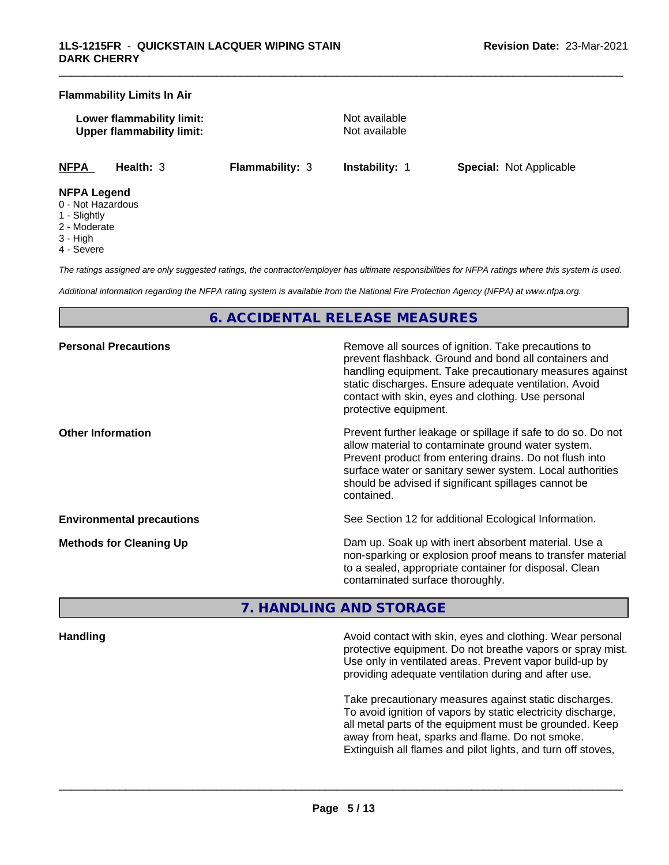#### **Flammability Limits In Air**

**Lower flammability limit:** Not available **Upper flammability limit:** Not available

\_\_\_\_\_\_\_\_\_\_\_\_\_\_\_\_\_\_\_\_\_\_\_\_\_\_\_\_\_\_\_\_\_\_\_\_\_\_\_\_\_\_\_\_\_\_\_\_\_\_\_\_\_\_\_\_\_\_\_\_\_\_\_\_\_\_\_\_\_\_\_\_\_\_\_\_\_\_\_\_\_\_\_\_\_\_\_\_\_\_\_\_\_

**NFPA Health:** 3 **Flammability:** 3 **Instability:** 1 **Special:** Not Applicable

#### **NFPA Legend**

- 0 Not Hazardous
- 1 Slightly
- 2 Moderate
- 3 High
- 4 Severe

*The ratings assigned are only suggested ratings, the contractor/employer has ultimate responsibilities for NFPA ratings where this system is used.*

*Additional information regarding the NFPA rating system is available from the National Fire Protection Agency (NFPA) at www.nfpa.org.*

# **6. ACCIDENTAL RELEASE MEASURES**

| <b>Personal Precautions</b>      | Remove all sources of ignition. Take precautions to<br>prevent flashback. Ground and bond all containers and<br>handling equipment. Take precautionary measures against<br>static discharges. Ensure adequate ventilation. Avoid<br>contact with skin, eyes and clothing. Use personal<br>protective equipment.  |
|----------------------------------|------------------------------------------------------------------------------------------------------------------------------------------------------------------------------------------------------------------------------------------------------------------------------------------------------------------|
| <b>Other Information</b>         | Prevent further leakage or spillage if safe to do so. Do not<br>allow material to contaminate ground water system.<br>Prevent product from entering drains. Do not flush into<br>surface water or sanitary sewer system. Local authorities<br>should be advised if significant spillages cannot be<br>contained. |
| <b>Environmental precautions</b> | See Section 12 for additional Ecological Information.                                                                                                                                                                                                                                                            |
| <b>Methods for Cleaning Up</b>   | Dam up. Soak up with inert absorbent material. Use a<br>non-sparking or explosion proof means to transfer material<br>to a sealed, appropriate container for disposal. Clean<br>contaminated surface thoroughly.                                                                                                 |

# **7. HANDLING AND STORAGE**

**Handling Handling Avoid contact with skin, eyes and clothing. Wear personal and <b>Handling Avoid contact with skin, eyes and clothing. Wear personal** protective equipment. Do not breathe vapors or spray mist. Use only in ventilated areas. Prevent vapor build-up by providing adequate ventilation during and after use.

> Take precautionary measures against static discharges. To avoid ignition of vapors by static electricity discharge, all metal parts of the equipment must be grounded. Keep away from heat, sparks and flame. Do not smoke. Extinguish all flames and pilot lights, and turn off stoves,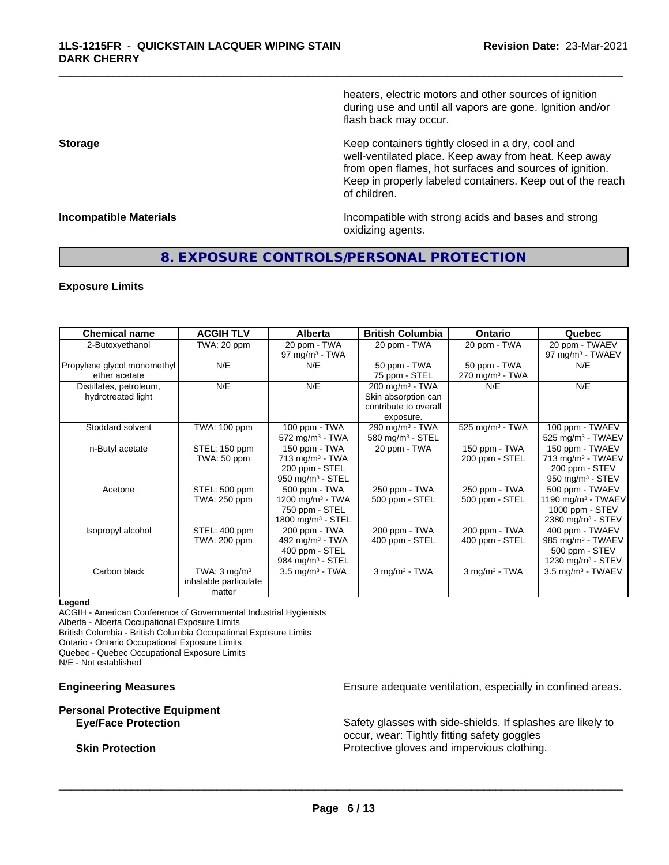heaters, electric motors and other sources of ignition during use and until all vapors are gone. Ignition and/or flash back may occur.

\_\_\_\_\_\_\_\_\_\_\_\_\_\_\_\_\_\_\_\_\_\_\_\_\_\_\_\_\_\_\_\_\_\_\_\_\_\_\_\_\_\_\_\_\_\_\_\_\_\_\_\_\_\_\_\_\_\_\_\_\_\_\_\_\_\_\_\_\_\_\_\_\_\_\_\_\_\_\_\_\_\_\_\_\_\_\_\_\_\_\_\_\_

**Storage Keep containers tightly closed in a dry, cool and get a dry and structure in a dry and structure in a dry and structure in a dry and structure in a dry and structure in a dry and structure in a dry and structure** well-ventilated place. Keep away from heat. Keep away from open flames, hot surfaces and sources of ignition. Keep in properly labeled containers. Keep out of the reach of children.

**Incompatible Materials Incompatible with strong acids and bases and strong** oxidizing agents.

# **8. EXPOSURE CONTROLS/PERSONAL PROTECTION**

#### **Exposure Limits**

| <b>Chemical name</b>                          | <b>ACGIH TLV</b>                                           | <b>Alberta</b>                                                                                     | <b>British Columbia</b>                                                                  | <b>Ontario</b>                             | Quebec                                                                                                |
|-----------------------------------------------|------------------------------------------------------------|----------------------------------------------------------------------------------------------------|------------------------------------------------------------------------------------------|--------------------------------------------|-------------------------------------------------------------------------------------------------------|
| 2-Butoxyethanol                               | TWA: 20 ppm                                                | 20 ppm - TWA<br>97 mg/m $3$ - TWA                                                                  | 20 ppm - TWA                                                                             | 20 ppm - TWA                               | 20 ppm - TWAEV<br>97 mg/m $3$ - TWAEV                                                                 |
| Propylene glycol monomethyl<br>ether acetate  | N/E                                                        | N/E                                                                                                | 50 ppm - TWA<br>75 ppm - STEL                                                            | 50 ppm - TWA<br>$270 \text{ mg/m}^3$ - TWA | N/E                                                                                                   |
| Distillates, petroleum,<br>hydrotreated light | N/E                                                        | N/E                                                                                                | 200 mg/m <sup>3</sup> - TWA<br>Skin absorption can<br>contribute to overall<br>exposure. | N/E                                        | N/E                                                                                                   |
| Stoddard solvent                              | TWA: 100 ppm                                               | 100 ppm - TWA<br>$572$ mg/m <sup>3</sup> - TWA                                                     | 290 mg/m $3$ - TWA<br>580 mg/m $3 -$ STEL                                                | $525$ mg/m <sup>3</sup> - TWA              | 100 ppm - TWAEV<br>525 mg/m <sup>3</sup> - TWAEV                                                      |
| n-Butyl acetate                               | STEL: 150 ppm<br>TWA: 50 ppm                               | 150 ppm - TWA<br>$713$ mg/m <sup>3</sup> - TWA<br>200 ppm - STEL<br>$950$ mg/m <sup>3</sup> - STEL | 20 ppm - TWA                                                                             | 150 ppm - TWA<br>200 ppm - STEL            | 150 ppm - TWAEV<br>713 mg/m <sup>3</sup> - TWAEV<br>200 ppm - STEV<br>950 mg/m <sup>3</sup> - STEV    |
| Acetone                                       | STEL: 500 ppm<br>TWA: 250 ppm                              | 500 ppm - TWA<br>1200 mg/m $3$ - TWA<br>750 ppm - STEL<br>1800 mg/m <sup>3</sup> - STEL            | 250 ppm - TWA<br>500 ppm - STEL                                                          | 250 ppm - TWA<br>500 ppm - STEL            | 500 ppm - TWAEV<br>1190 mg/m <sup>3</sup> - TWAEV<br>1000 ppm - STEV<br>2380 mg/m <sup>3</sup> - STEV |
| Isopropyl alcohol                             | STEL: 400 ppm<br>TWA: 200 ppm                              | 200 ppm - TWA<br>492 mg/m $3$ - TWA<br>400 ppm - STEL<br>984 mg/m $3 -$ STEL                       | 200 ppm - TWA<br>400 ppm - STEL                                                          | 200 ppm - TWA<br>400 ppm - STEL            | 400 ppm - TWAEV<br>985 mg/m <sup>3</sup> - TWAEV<br>500 ppm - STEV<br>1230 mg/m $3 -$ STEV            |
| Carbon black                                  | TWA: $3 \text{ mg/m}^3$<br>inhalable particulate<br>matter | $3.5 \text{ mg/m}^3$ - TWA                                                                         | $3$ mg/m <sup>3</sup> - TWA                                                              | $3$ mg/m <sup>3</sup> - TWA                | $3.5 \text{ mg/m}^3$ - TWAEV                                                                          |

#### **Legend**

ACGIH - American Conference of Governmental Industrial Hygienists

Alberta - Alberta Occupational Exposure Limits

British Columbia - British Columbia Occupational Exposure Limits

Ontario - Ontario Occupational Exposure Limits

Quebec - Quebec Occupational Exposure Limits

N/E - Not established

# **Personal Protective Equipment**<br> **Eve/Face Protection**

**Engineering Measures Ensure adequate ventilation, especially in confined areas.** 

Safety glasses with side-shields. If splashes are likely to occur, wear: Tightly fitting safety goggles **Skin Protection Protection Protective gloves and impervious clothing.**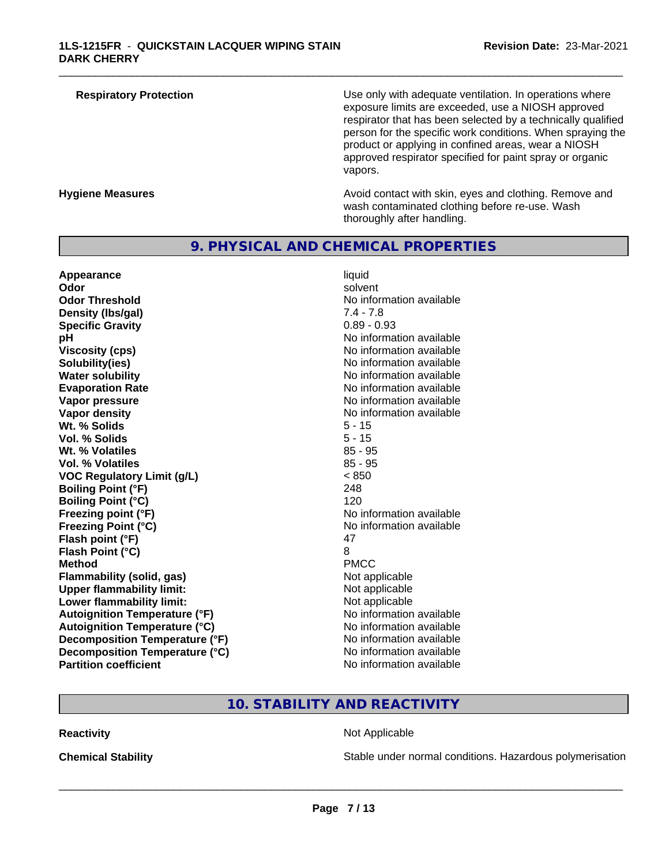| <b>Respiratory Protection</b> | Use only with adequate ventilation. In operations where<br>exposure limits are exceeded, use a NIOSH approved<br>respirator that has been selected by a technically qualified<br>person for the specific work conditions. When spraying the<br>product or applying in confined areas, wear a NIOSH<br>approved respirator specified for paint spray or organic<br>vapors. |
|-------------------------------|---------------------------------------------------------------------------------------------------------------------------------------------------------------------------------------------------------------------------------------------------------------------------------------------------------------------------------------------------------------------------|
| <b>Hygiene Measures</b>       | Avoid contact with skin, eyes and clothing. Remove and<br>wash contaminated clothing before re-use. Wash                                                                                                                                                                                                                                                                  |

thoroughly after handling.

### **9. PHYSICAL AND CHEMICAL PROPERTIES**

**Appearance and intervalse and intervalse in the set of the set of the set of the set of the set of the set of t<br>
<b>Appearance liquid Odor liquid of the set of the set of the set of the set of the set of the set of Odor** solvent **Odor Threshold No information available No information available Density (lbs/gal)** 7.4 - 7.8 **Specific Gravity** 0.89 - 0.93 **pH pH**  $\blacksquare$ **Viscosity (cps)** No information available<br> **Solubility (ies)** No information available<br>
No information available **Water solubility** No information available **Evaporation Rate Evaporation Rate No information available Vapor pressure** No information available No information available **Vapor density No information available No information available Wt. % Solids** 5 - 15 **Vol. % Solids** 5 - 15 **Wt. % Volatiles Vol. % Volatiles** 85 - 95 **VOC Regulatory Limit (g/L)** < 850 **Boiling Point (°F)** 248 **Boiling Point (°C)** 120 **Freezing point (°F)** No information available **Freezing Point (°C)** No information available **Flash point (°F)** 47 **Flash Point (°C)** 8 **Method** PMCC **Flammability (solid, gas)**<br> **Upper flammability limit:**<br>
Upper flammability limit:<br>  $\begin{array}{ccc}\n\bullet & \bullet & \bullet \\
\bullet & \bullet & \bullet\n\end{array}$  Not applicable **Upper flammability limit:**<br> **Lower flammability limit:**<br>
Not applicable<br>
Not applicable **Lower flammability limit: Autoignition Temperature (°F)** No information available **Autoignition Temperature (°C)**<br> **Decomposition Temperature (°F)** No information available<br>
No information available **Decomposition Temperature (°F) Decomposition Temperature (°C)**<br> **Partition coefficient**<br> **Partition coefficient**<br> **No** information available

**Solubility(ies)** No information available **No information available** 

# **10. STABILITY AND REACTIVITY**

#### **Reactivity Not Applicable Not Applicable**

 $\overline{\phantom{a}}$  ,  $\overline{\phantom{a}}$  ,  $\overline{\phantom{a}}$  ,  $\overline{\phantom{a}}$  ,  $\overline{\phantom{a}}$  ,  $\overline{\phantom{a}}$  ,  $\overline{\phantom{a}}$  ,  $\overline{\phantom{a}}$  ,  $\overline{\phantom{a}}$  ,  $\overline{\phantom{a}}$  ,  $\overline{\phantom{a}}$  ,  $\overline{\phantom{a}}$  ,  $\overline{\phantom{a}}$  ,  $\overline{\phantom{a}}$  ,  $\overline{\phantom{a}}$  ,  $\overline{\phantom{a}}$ 

**Chemical Stability Stability** Stable under normal conditions. Hazardous polymerisation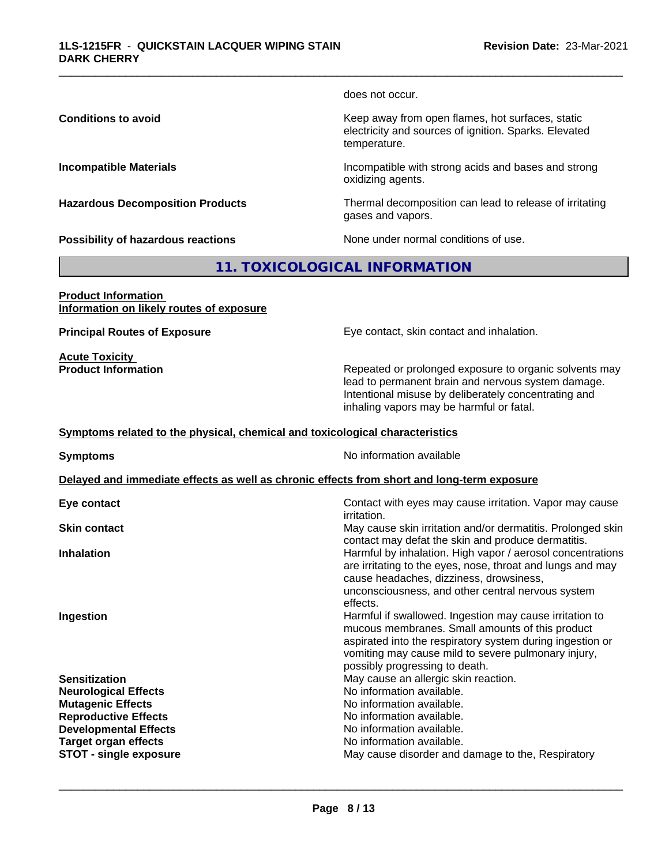does not occur.

\_\_\_\_\_\_\_\_\_\_\_\_\_\_\_\_\_\_\_\_\_\_\_\_\_\_\_\_\_\_\_\_\_\_\_\_\_\_\_\_\_\_\_\_\_\_\_\_\_\_\_\_\_\_\_\_\_\_\_\_\_\_\_\_\_\_\_\_\_\_\_\_\_\_\_\_\_\_\_\_\_\_\_\_\_\_\_\_\_\_\_\_\_

**Conditions to avoid Keep away from open flames, hot surfaces, static conditions to avoid** electricity and sources of ignition. Sparks. Elevated temperature.

**Incompatible Materials Incompatible with strong acids and bases and strong** oxidizing agents.

**Hazardous Decomposition Products** Thermal decomposition can lead to release of irritating gases and vapors.

**Possibility of hazardous reactions** None under normal conditions of use.

# **11. TOXICOLOGICAL INFORMATION**

**Product Information Information on likely routes of exposure**

**Acute Toxicity** 

**Principal Routes of Exposure Exposure** Eye contact, skin contact and inhalation.

**Product Information Repeated or prolonged exposure to organic solvents may** lead to permanent brain and nervous system damage. Intentional misuse by deliberately concentrating and inhaling vapors may be harmful or fatal.

#### **Symptoms related to the physical,chemical and toxicological characteristics**

**Symptoms** No information available **Delayed and immediate effects as well as chronic effects from short and long-term exposure Eye contact** Contact with eyes may cause irritation. Vapor may cause irritation. **Skin contact** May cause skin irritation and/or dermatitis. Prolonged skin contact may defat the skin and produce dermatitis. **Inhalation Inhalation Harmful by inhalation. High vapor / aerosol concentrations** are irritating to the eyes, nose, throat and lungs and may cause headaches, dizziness, drowsiness, unconsciousness, and other central nervous system effects. **Ingestion Ingestion Example 2 Index 1 Harmful if swallowed. Ingestion may cause irritation to** mucous membranes. Small amounts of this product aspirated into the respiratory system during ingestion or vomiting may cause mild to severe pulmonary injury, possibly progressing to death. **Sensitization** May cause an allergic skin reaction. **Neurological Effects** Noinformation available. **Mutagenic Effects No information available. Reproductive Effects**<br> **Reproductive Effects**<br> **Developmental Effects**<br> **No information available. Developmental Effects Target organ effects** No information available. **STOT -** single exposure **May cause disorder and damage to the, Respiratory May cause disorder and damage to the, Respiratory**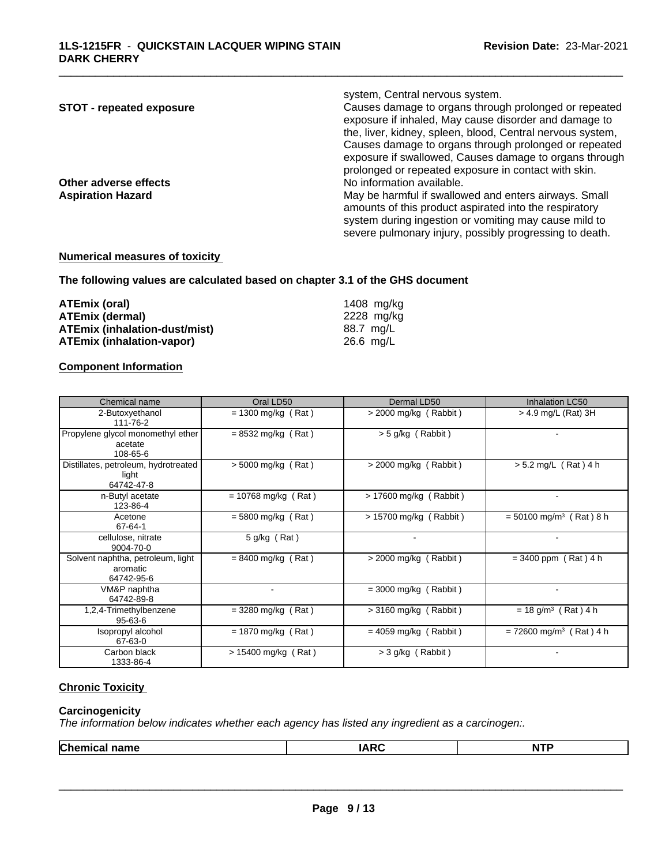| <b>STOT - repeated exposure</b> | system, Central nervous system.<br>Causes damage to organs through prolonged or repeated<br>exposure if inhaled, May cause disorder and damage to<br>the, liver, kidney, spleen, blood, Central nervous system,                     |
|---------------------------------|-------------------------------------------------------------------------------------------------------------------------------------------------------------------------------------------------------------------------------------|
| Other adverse effects           | Causes damage to organs through prolonged or repeated<br>exposure if swallowed, Causes damage to organs through<br>prolonged or repeated exposure in contact with skin.<br>No information available.                                |
| <b>Aspiration Hazard</b>        | May be harmful if swallowed and enters airways. Small<br>amounts of this product aspirated into the respiratory<br>system during ingestion or vomiting may cause mild to<br>severe pulmonary injury, possibly progressing to death. |

#### **Numerical measures of toxicity**

**The following values are calculated based on chapter 3.1 of the GHS document**

| ATEmix (oral)                        | 1408 mg/kg  |
|--------------------------------------|-------------|
| <b>ATEmix (dermal)</b>               | 2228 ma/ka  |
| <b>ATEmix (inhalation-dust/mist)</b> | 88.7 ma/L   |
| <b>ATEmix (inhalation-vapor)</b>     | $26.6$ mg/L |

### **Component Information**

| Chemical name                                               | Oral LD50             | Dermal LD50              | Inhalation LC50                       |
|-------------------------------------------------------------|-----------------------|--------------------------|---------------------------------------|
| 2-Butoxyethanol<br>111-76-2                                 | $= 1300$ mg/kg (Rat)  | $>$ 2000 mg/kg (Rabbit)  | $>$ 4.9 mg/L (Rat) 3H                 |
| Propylene glycol monomethyl ether<br>acetate<br>108-65-6    | $= 8532$ mg/kg (Rat)  | $>$ 5 g/kg (Rabbit)      |                                       |
| Distillates, petroleum, hydrotreated<br>light<br>64742-47-8 | $> 5000$ mg/kg (Rat)  | $>$ 2000 mg/kg (Rabbit)  | $> 5.2$ mg/L (Rat) 4 h                |
| n-Butyl acetate<br>123-86-4                                 | $= 10768$ mg/kg (Rat) | > 17600 mg/kg (Rabbit)   |                                       |
| Acetone<br>67-64-1                                          | $= 5800$ mg/kg (Rat)  | $> 15700$ mg/kg (Rabbit) | $= 50100$ mg/m <sup>3</sup> (Rat) 8 h |
| cellulose, nitrate<br>9004-70-0                             | $5$ g/kg (Rat)        |                          |                                       |
| Solvent naphtha, petroleum, light<br>aromatic<br>64742-95-6 | $= 8400$ mg/kg (Rat)  | $>$ 2000 mg/kg (Rabbit)  | $= 3400$ ppm (Rat) 4 h                |
| VM&P naphtha<br>64742-89-8                                  |                       | $=$ 3000 mg/kg (Rabbit)  |                                       |
| 1,2,4-Trimethylbenzene<br>$95 - 63 - 6$                     | $=$ 3280 mg/kg (Rat)  | $>$ 3160 mg/kg (Rabbit)  | $= 18$ g/m <sup>3</sup> (Rat) 4 h     |
| Isopropyl alcohol<br>67-63-0                                | $= 1870$ mg/kg (Rat)  | $= 4059$ mg/kg (Rabbit)  | $= 72600$ mg/m <sup>3</sup> (Rat) 4 h |
| Carbon black<br>1333-86-4                                   | > 15400 mg/kg (Rat)   | $>$ 3 g/kg (Rabbit)      |                                       |

# **Chronic Toxicity**

#### **Carcinogenicity**

*The information below indicateswhether each agency has listed any ingredient as a carcinogen:.*

| ----<br><b>ALCOHOL:</b><br>. N |
|--------------------------------|
|--------------------------------|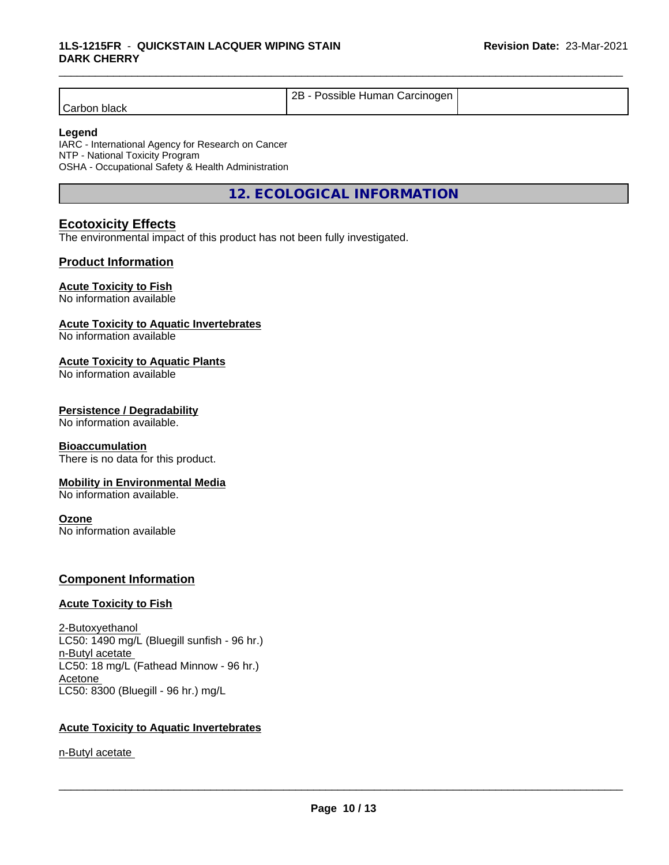|                 | റല<br>Human Carcinogen<br>Possible<br>40 |  |
|-----------------|------------------------------------------|--|
| black<br>∶arh∩n |                                          |  |

#### **Legend**

IARC - International Agency for Research on Cancer NTP - National Toxicity Program OSHA - Occupational Safety & Health Administration

**12. ECOLOGICAL INFORMATION**

# **Ecotoxicity Effects**

The environmental impact of this product has not been fully investigated.

### **Product Information**

# **Acute Toxicity to Fish**

No information available

# **Acute Toxicity to Aquatic Invertebrates**

No information available

#### **Acute Toxicity to Aquatic Plants**

No information available

#### **Persistence / Degradability**

No information available.

#### **Bioaccumulation**

There is no data for this product.

#### **Mobility in Environmental Media**

No information available.

#### **Ozone**

No information available

### **Component Information**

#### **Acute Toxicity to Fish**

2-Butoxyethanol LC50: 1490 mg/L (Bluegill sunfish - 96 hr.) n-Butyl acetate LC50: 18 mg/L (Fathead Minnow - 96 hr.) Acetone LC50: 8300 (Bluegill - 96 hr.) mg/L

### **Acute Toxicity to Aquatic Invertebrates**

n-Butyl acetate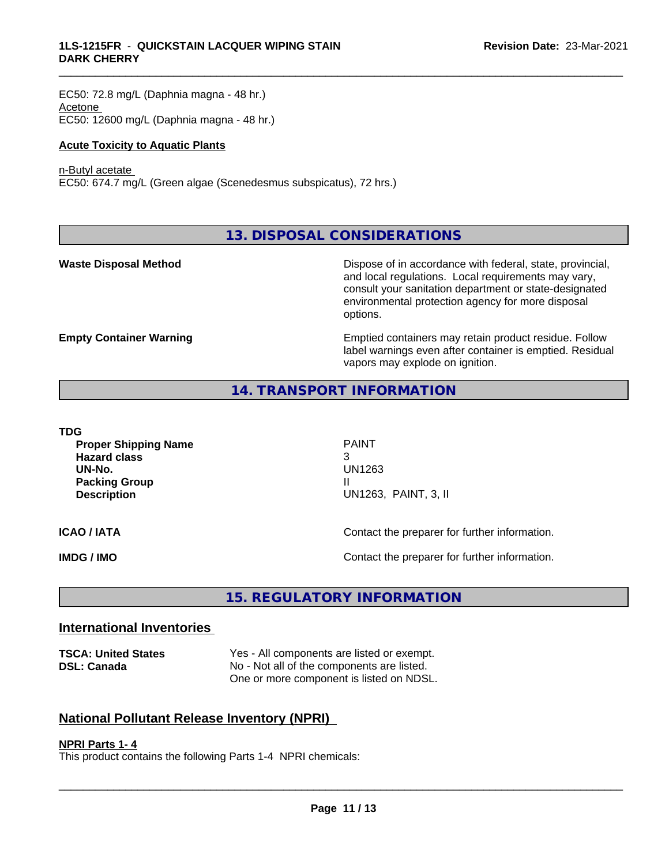EC50: 72.8 mg/L (Daphnia magna - 48 hr.) Acetone EC50: 12600 mg/L (Daphnia magna - 48 hr.)

#### **Acute Toxicity to Aquatic Plants**

#### n-Butyl acetate

EC50: 674.7 mg/L (Green algae (Scenedesmus subspicatus), 72 hrs.)

**13. DISPOSAL CONSIDERATIONS**

**Waste Disposal Method Dispose of in accordance with federal, state, provincial,** and local regulations. Local requirements may vary, consult your sanitation department or state-designated environmental protection agency for more disposal options.

**Empty Container Warning <b>Emptied** Containers may retain product residue. Follow label warnings even after container is emptied. Residual vapors may explode on ignition.

### **14. TRANSPORT INFORMATION**

| TDG |
|-----|
|-----|

**Proper Shipping Name** PAINT **Hazard class** 3 **UN-No.** UN1263 **Packing Group III Description** UN1263, PAINT, 3, II

\_\_\_\_\_\_\_\_\_\_\_\_\_\_\_\_\_\_\_\_\_\_\_\_\_\_\_\_\_\_\_\_\_\_\_\_\_\_\_\_\_\_\_\_\_\_\_\_\_\_\_\_\_\_\_\_\_\_\_\_\_\_\_\_\_\_\_\_\_\_\_\_\_\_\_\_\_\_\_\_\_\_\_\_\_\_\_\_\_\_\_\_\_

**ICAO / IATA ICAO / IATA Contact the preparer for further information.** 

**IMDG / IMO Contact the preparer for further information.** 

# **15. REGULATORY INFORMATION**

### **International Inventories**

**TSCA: United States** Yes - All components are listed or exempt. **DSL: Canada** No - Not all of the components are listed. One or more component is listed on NDSL.

# **National Pollutant Release Inventory (NPRI)**

#### **NPRI Parts 1- 4**

This product contains the following Parts 1-4 NPRI chemicals: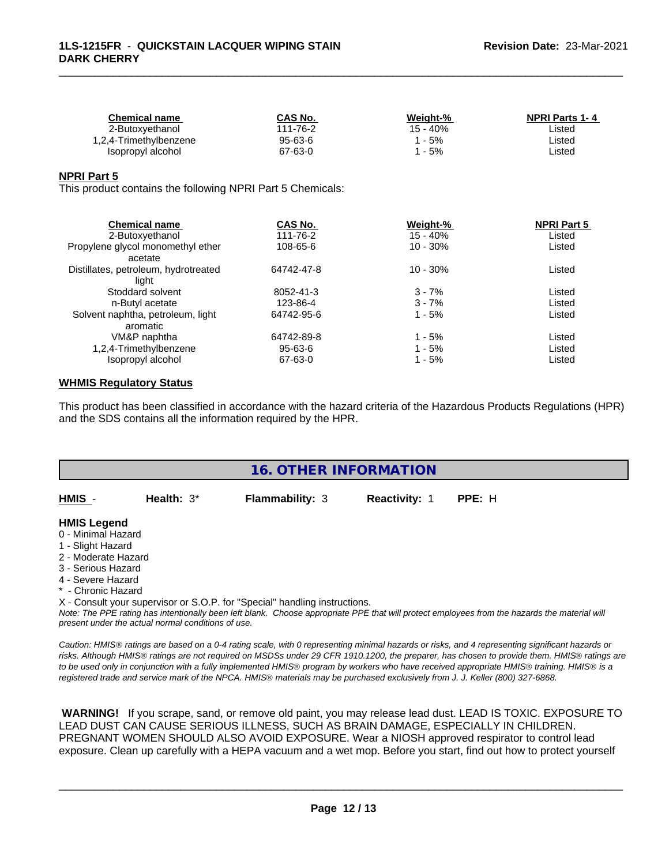| CAS No.  | Weight-% | <b>NPRI Parts 1-4</b> |
|----------|----------|-----------------------|
| 111-76-2 | 15 - 40% | ∟isted                |
| 95-63-6  | - 5%     | ∟isted                |
| 67-63-0  | $-5%$    | ∟isted                |
|          |          |                       |

#### **NPRI Part 5**

This product contains the following NPRI Part 5 Chemicals:

| CAS No.    | Weight-%   | <b>NPRI Part 5</b> |  |
|------------|------------|--------------------|--|
| 111-76-2   | $15 - 40%$ | Listed             |  |
| 108-65-6   | $10 - 30%$ | Listed             |  |
|            |            |                    |  |
| 64742-47-8 | $10 - 30%$ | Listed             |  |
|            |            |                    |  |
| 8052-41-3  | $3 - 7%$   | Listed             |  |
| 123-86-4   | $3 - 7%$   | Listed             |  |
| 64742-95-6 | $1 - 5%$   | Listed             |  |
|            |            |                    |  |
| 64742-89-8 | $1 - 5%$   | Listed             |  |
| 95-63-6    | 1 - 5%     | Listed             |  |
| 67-63-0    | 1 - 5%     | Listed             |  |
|            |            |                    |  |

#### **WHMIS Regulatory Status**

This product has been classified in accordance with the hazard criteria of the Hazardous Products Regulations (HPR) and the SDS contains all the information required by the HPR.

| <b>16. OTHER INFORMATION</b>                                                                                                                          |                                                    |                                                                            |               |                                                                                                                                                                                                                                                                                                                                                                                                                                             |  |  |
|-------------------------------------------------------------------------------------------------------------------------------------------------------|----------------------------------------------------|----------------------------------------------------------------------------|---------------|---------------------------------------------------------------------------------------------------------------------------------------------------------------------------------------------------------------------------------------------------------------------------------------------------------------------------------------------------------------------------------------------------------------------------------------------|--|--|
| HMIS -                                                                                                                                                | Health: $3*$                                       | <b>Flammability: 3</b>                                                     | Reactivity: 1 | PPE: H                                                                                                                                                                                                                                                                                                                                                                                                                                      |  |  |
| <b>HMIS Legend</b><br>0 - Minimal Hazard<br>1 - Slight Hazard<br>2 - Moderate Hazard<br>3 - Serious Hazard<br>4 - Severe Hazard<br>* - Chronic Hazard | present under the actual normal conditions of use. | X - Consult your supervisor or S.O.P. for "Special" handling instructions. |               | Note: The PPE rating has intentionally been left blank. Choose appropriate PPE that will protect employees from the hazards the material will                                                                                                                                                                                                                                                                                               |  |  |
|                                                                                                                                                       |                                                    |                                                                            |               | Caution: HMIS® ratings are based on a 0-4 rating scale, with 0 representing minimal hazards or risks, and 4 representing significant hazards or<br>risks. Although HMIS® ratings are not required on MSDSs under 29 CFR 1910.1200, the preparer, has chosen to provide them. HMIS® ratings are<br>to be used only in conjunction with a fully implemented HMIS® program by workers who have received appropriate HMIS® training. HMIS® is a |  |  |

 **WARNING!** If you scrape, sand, or remove old paint, you may release lead dust. LEAD IS TOXIC. EXPOSURE TO LEAD DUST CAN CAUSE SERIOUS ILLNESS, SUCH AS BRAIN DAMAGE, ESPECIALLY IN CHILDREN. PREGNANT WOMEN SHOULD ALSO AVOID EXPOSURE. Wear a NIOSH approved respirator to control lead exposure. Clean up carefully with a HEPA vacuum and a wet mop. Before you start, find out how to protect yourself

*registered trade and service mark of the NPCA. HMISÒ materials may be purchased exclusively from J. J. Keller (800) 327-6868.*